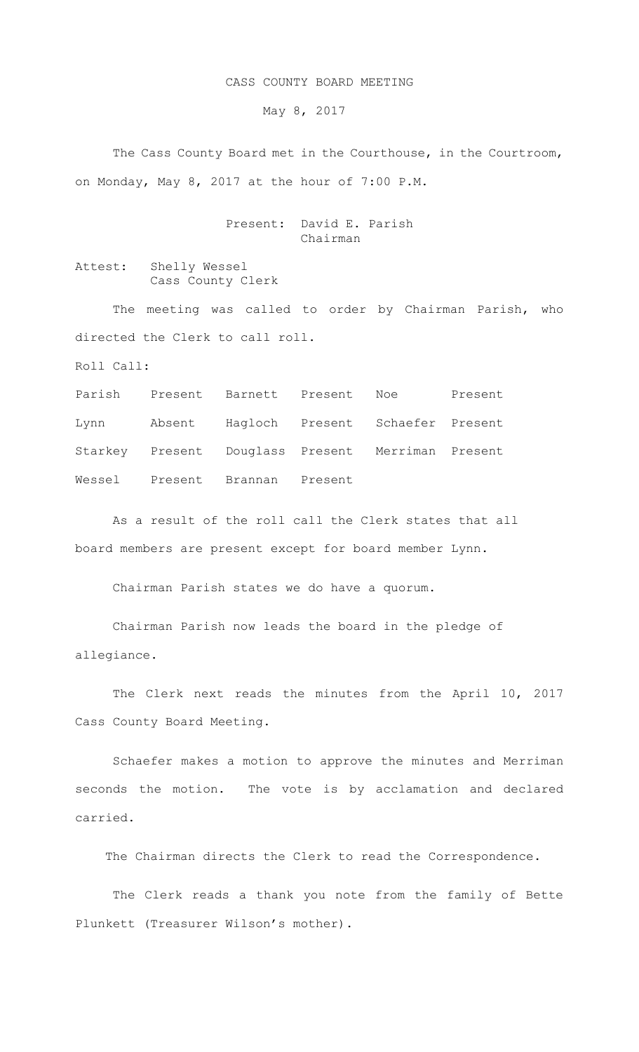## CASS COUNTY BOARD MEETING

May 8, 2017

 The Cass County Board met in the Courthouse, in the Courtroom, on Monday, May 8, 2017 at the hour of 7:00 P.M.

> Present: David E. Parish Chairman

Attest: Shelly Wessel Cass County Clerk

The meeting was called to order by Chairman Parish, who directed the Clerk to call roll.

Roll Call:

Parish Present Barnett Present Noe Present Lynn Absent Hagloch Present Schaefer Present Starkey Present Douglass Present Merriman Present Wessel Present Brannan Present

As a result of the roll call the Clerk states that all board members are present except for board member Lynn.

Chairman Parish states we do have a quorum.

Chairman Parish now leads the board in the pledge of allegiance.

The Clerk next reads the minutes from the April 10, 2017 Cass County Board Meeting.

Schaefer makes a motion to approve the minutes and Merriman seconds the motion. The vote is by acclamation and declared carried.

The Chairman directs the Clerk to read the Correspondence.

 The Clerk reads a thank you note from the family of Bette Plunkett (Treasurer Wilson's mother).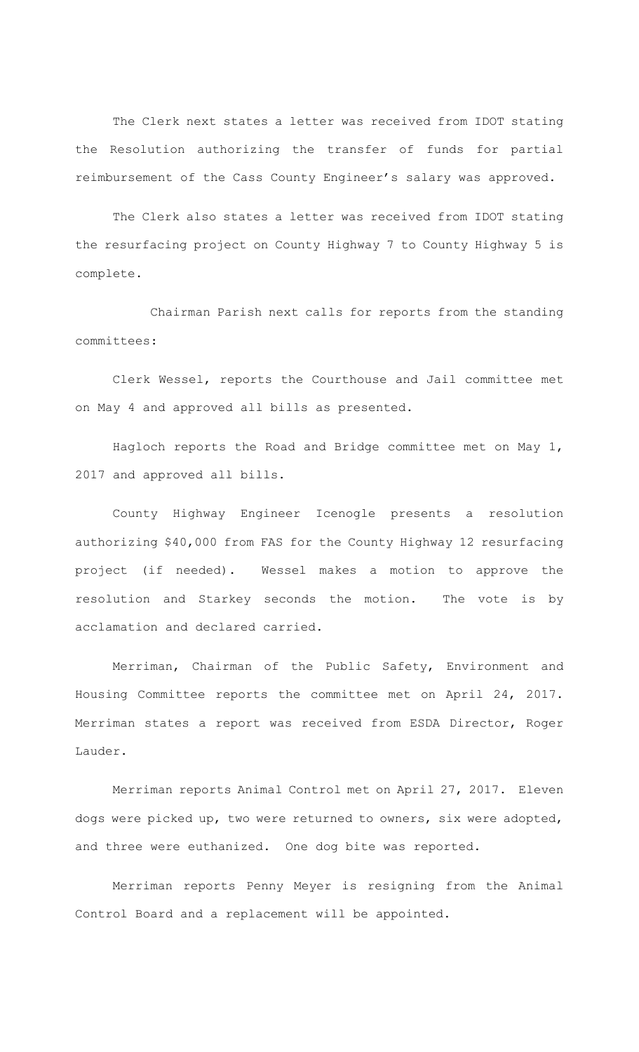The Clerk next states a letter was received from IDOT stating the Resolution authorizing the transfer of funds for partial reimbursement of the Cass County Engineer's salary was approved.

 The Clerk also states a letter was received from IDOT stating the resurfacing project on County Highway 7 to County Highway 5 is complete.

 Chairman Parish next calls for reports from the standing committees:

Clerk Wessel, reports the Courthouse and Jail committee met on May 4 and approved all bills as presented.

Hagloch reports the Road and Bridge committee met on May 1, 2017 and approved all bills.

County Highway Engineer Icenogle presents a resolution authorizing \$40,000 from FAS for the County Highway 12 resurfacing project (if needed). Wessel makes a motion to approve the resolution and Starkey seconds the motion. The vote is by acclamation and declared carried.

Merriman, Chairman of the Public Safety, Environment and Housing Committee reports the committee met on April 24, 2017. Merriman states a report was received from ESDA Director, Roger Lauder.

Merriman reports Animal Control met on April 27, 2017. Eleven dogs were picked up, two were returned to owners, six were adopted, and three were euthanized. One dog bite was reported.

Merriman reports Penny Meyer is resigning from the Animal Control Board and a replacement will be appointed.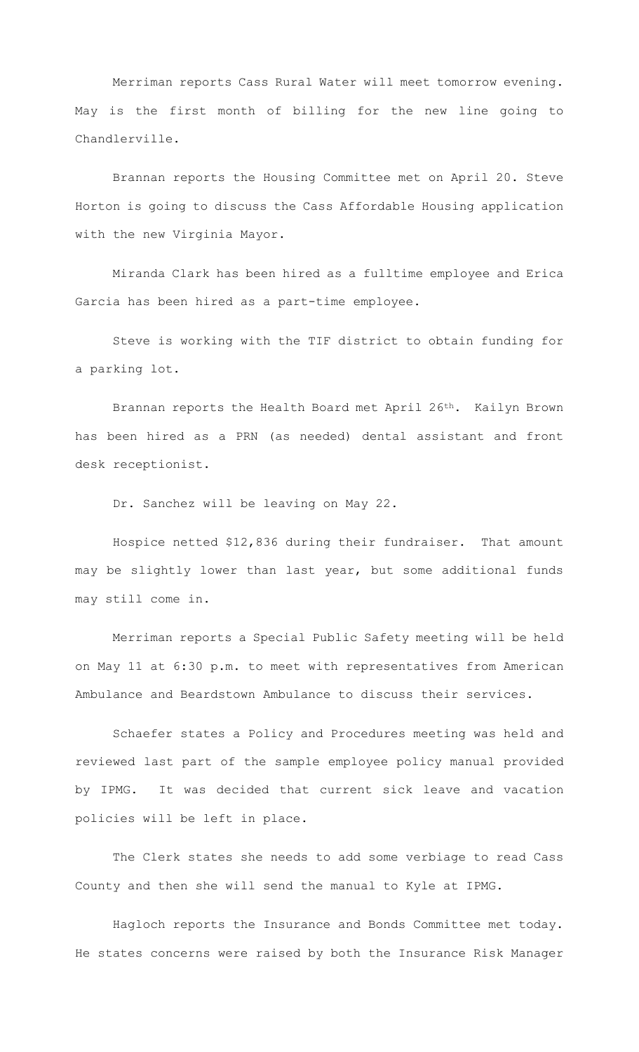Merriman reports Cass Rural Water will meet tomorrow evening. May is the first month of billing for the new line going to Chandlerville.

Brannan reports the Housing Committee met on April 20. Steve Horton is going to discuss the Cass Affordable Housing application with the new Virginia Mayor.

Miranda Clark has been hired as a fulltime employee and Erica Garcia has been hired as a part-time employee.

Steve is working with the TIF district to obtain funding for a parking lot.

Brannan reports the Health Board met April 26<sup>th</sup>. Kailyn Brown has been hired as a PRN (as needed) dental assistant and front desk receptionist.

Dr. Sanchez will be leaving on May 22.

Hospice netted \$12,836 during their fundraiser. That amount may be slightly lower than last year, but some additional funds may still come in.

Merriman reports a Special Public Safety meeting will be held on May 11 at 6:30 p.m. to meet with representatives from American Ambulance and Beardstown Ambulance to discuss their services.

Schaefer states a Policy and Procedures meeting was held and reviewed last part of the sample employee policy manual provided by IPMG. It was decided that current sick leave and vacation policies will be left in place.

The Clerk states she needs to add some verbiage to read Cass County and then she will send the manual to Kyle at IPMG.

Hagloch reports the Insurance and Bonds Committee met today. He states concerns were raised by both the Insurance Risk Manager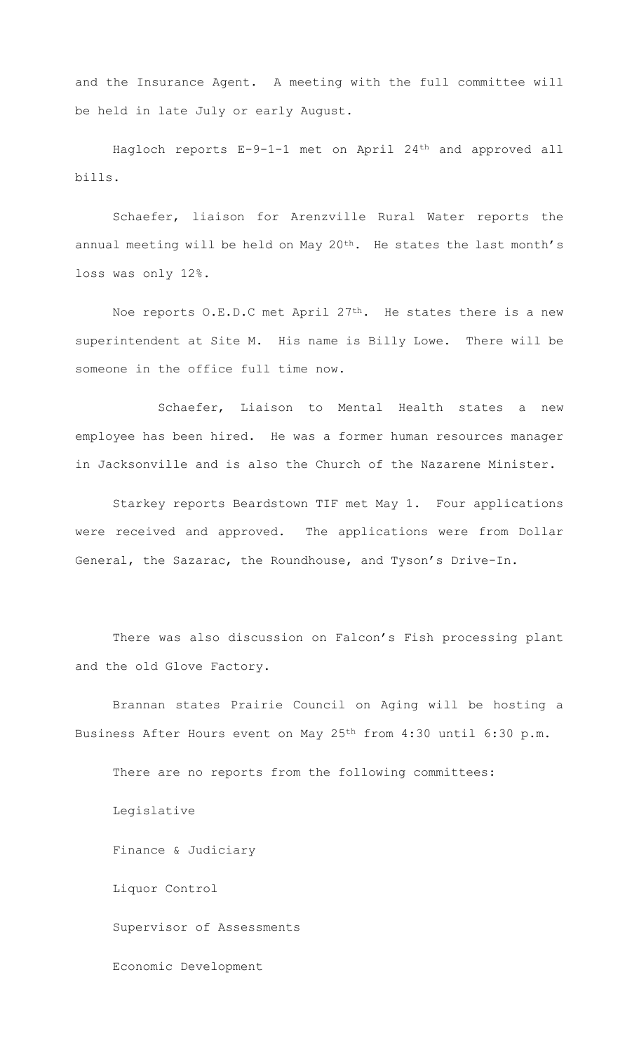and the Insurance Agent. A meeting with the full committee will be held in late July or early August.

Hagloch reports E-9-1-1 met on April 24th and approved all bills.

Schaefer, liaison for Arenzville Rural Water reports the annual meeting will be held on May 20<sup>th</sup>. He states the last month's loss was only 12%.

Noe reports O.E.D.C met April 27<sup>th</sup>. He states there is a new superintendent at Site M. His name is Billy Lowe. There will be someone in the office full time now.

 Schaefer, Liaison to Mental Health states a new employee has been hired. He was a former human resources manager in Jacksonville and is also the Church of the Nazarene Minister.

 Starkey reports Beardstown TIF met May 1. Four applications were received and approved. The applications were from Dollar General, the Sazarac, the Roundhouse, and Tyson's Drive-In.

 There was also discussion on Falcon's Fish processing plant and the old Glove Factory.

 Brannan states Prairie Council on Aging will be hosting a Business After Hours event on May 25th from 4:30 until 6:30 p.m.

There are no reports from the following committees: Legislative Finance & Judiciary Liquor Control Supervisor of Assessments Economic Development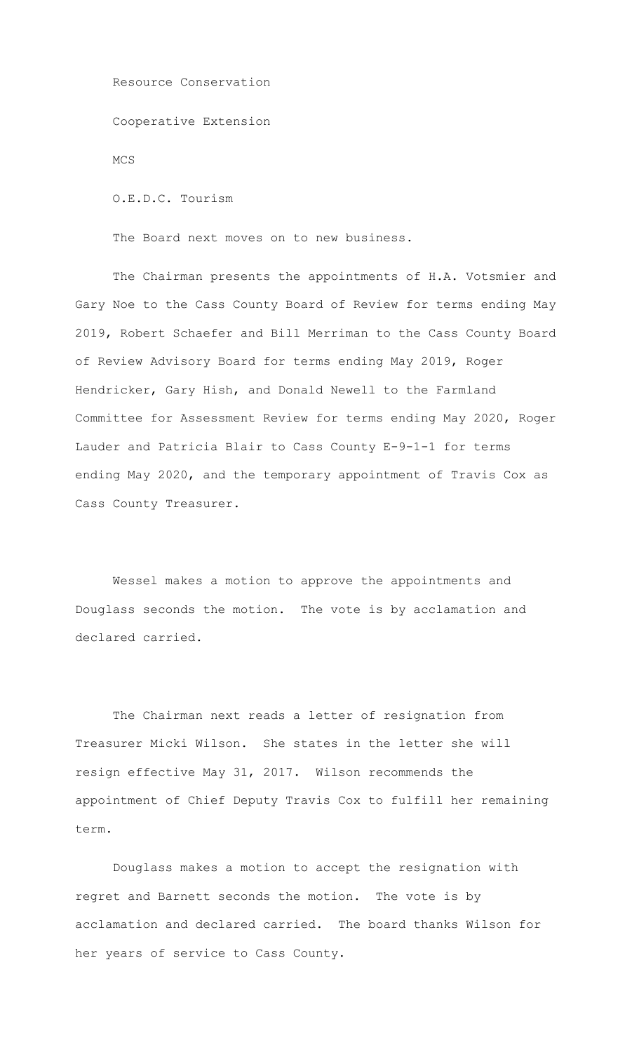Resource Conservation Cooperative Extension MCS O.E.D.C. Tourism

The Board next moves on to new business.

 The Chairman presents the appointments of H.A. Votsmier and Gary Noe to the Cass County Board of Review for terms ending May 2019, Robert Schaefer and Bill Merriman to the Cass County Board of Review Advisory Board for terms ending May 2019, Roger Hendricker, Gary Hish, and Donald Newell to the Farmland Committee for Assessment Review for terms ending May 2020, Roger Lauder and Patricia Blair to Cass County E-9-1-1 for terms ending May 2020, and the temporary appointment of Travis Cox as Cass County Treasurer.

Wessel makes a motion to approve the appointments and Douglass seconds the motion. The vote is by acclamation and declared carried.

The Chairman next reads a letter of resignation from Treasurer Micki Wilson. She states in the letter she will resign effective May 31, 2017. Wilson recommends the appointment of Chief Deputy Travis Cox to fulfill her remaining  $t \in r$ m

 Douglass makes a motion to accept the resignation with regret and Barnett seconds the motion. The vote is by acclamation and declared carried. The board thanks Wilson for her years of service to Cass County.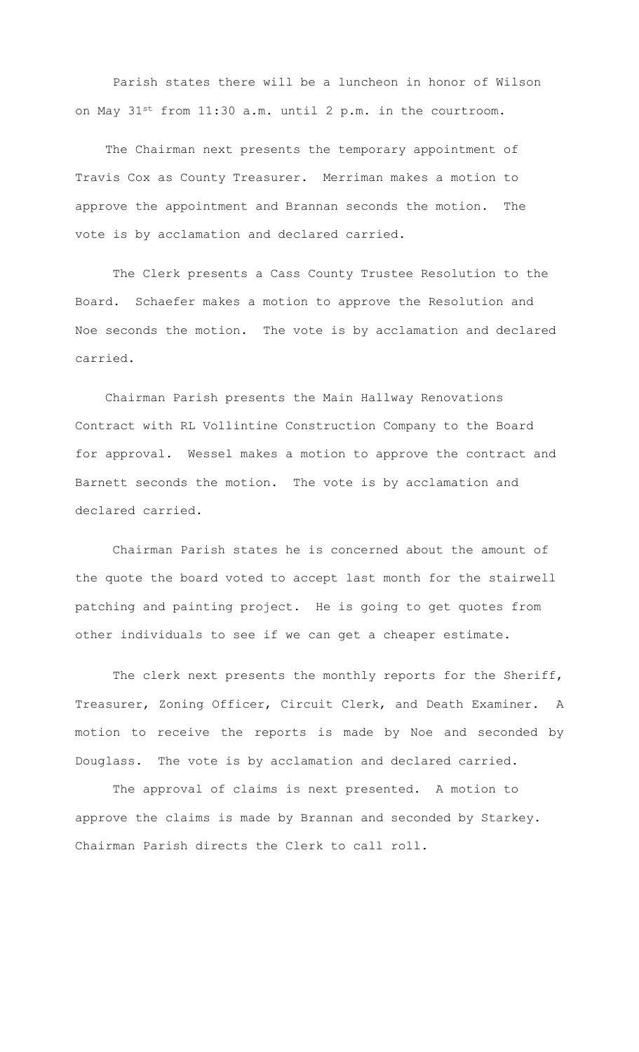Parish states there will be a luncheon in honor of Wilson on May 31st from 11:30 a.m. until 2 p.m. in the courtroom.

 The Chairman next presents the temporary appointment of Travis Cox as County Treasurer. Merriman makes a motion to approve the appointment and Brannan seconds the motion. The vote is by acclamation and declared carried.

 The Clerk presents a Cass County Trustee Resolution to the Board. Schaefer makes a motion to approve the Resolution and Noe seconds the motion. The vote is by acclamation and declared carried.

 Chairman Parish presents the Main Hallway Renovations Contract with RL Vollintine Construction Company to the Board for approval. Wessel makes a motion to approve the contract and Barnett seconds the motion. The vote is by acclamation and declared carried.

 Chairman Parish states he is concerned about the amount of the quote the board voted to accept last month for the stairwell patching and painting project. He is going to get quotes from other individuals to see if we can get a cheaper estimate.

The clerk next presents the monthly reports for the Sheriff, Treasurer, Zoning Officer, Circuit Clerk, and Death Examiner. A motion to receive the reports is made by Noe and seconded by Douglass. The vote is by acclamation and declared carried.

The approval of claims is next presented. A motion to approve the claims is made by Brannan and seconded by Starkey. Chairman Parish directs the Clerk to call roll.